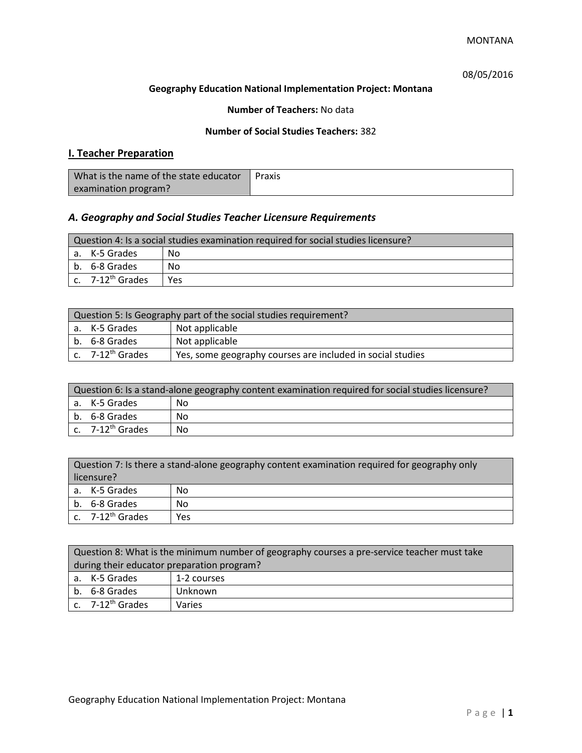# 08/05/2016

## **Geography Education National Implementation Project: Montana**

## **Number of Teachers:** No data

## **Number of Social Studies Teachers:** 382

# **I. Teacher Preparation**

| What is the name of the state educator | Praxis |
|----------------------------------------|--------|
| examination program?                   |        |

# *A. Geography and Social Studies Teacher Licensure Requirements*

|                     | Question 4: Is a social studies examination required for social studies licensure? |     |  |
|---------------------|------------------------------------------------------------------------------------|-----|--|
| a. K-5 Grades<br>Nο |                                                                                    |     |  |
|                     | l b. 6-8 Grades                                                                    | No  |  |
|                     | $\lfloor$ c. $\,$ 7-12 <sup>th</sup> Grades                                        | Yes |  |

| Question 5: Is Geography part of the social studies requirement?                    |                |  |
|-------------------------------------------------------------------------------------|----------------|--|
| Not applicable<br>a. K-5 Grades                                                     |                |  |
| b. 6-8 Grades                                                                       | Not applicable |  |
| c. $7-12^{th}$ Grades<br>Yes, some geography courses are included in social studies |                |  |

| Question 6: Is a stand-alone geography content examination required for social studies licensure? |    |  |
|---------------------------------------------------------------------------------------------------|----|--|
| a. K-5 Grades                                                                                     | No |  |
| b. 6-8 Grades                                                                                     | No |  |
| c. $7-12^{\text{th}}$ Grades                                                                      | No |  |

| Question 7: Is there a stand-alone geography content examination required for geography only<br>licensure? |     |  |
|------------------------------------------------------------------------------------------------------------|-----|--|
| a. K-5 Grades                                                                                              | No  |  |
| b. 6-8 Grades                                                                                              | No  |  |
| c. 7-12 <sup>th</sup> Grades                                                                               | Yes |  |

|                                            | Question 8: What is the minimum number of geography courses a pre-service teacher must take |             |  |  |  |
|--------------------------------------------|---------------------------------------------------------------------------------------------|-------------|--|--|--|
| during their educator preparation program? |                                                                                             |             |  |  |  |
|                                            | a. K-5 Grades                                                                               | 1-2 courses |  |  |  |
|                                            | b. 6-8 Grades<br>Unknown                                                                    |             |  |  |  |
|                                            | $\vert$ c. 7-12 <sup>th</sup> Grades<br>Varies                                              |             |  |  |  |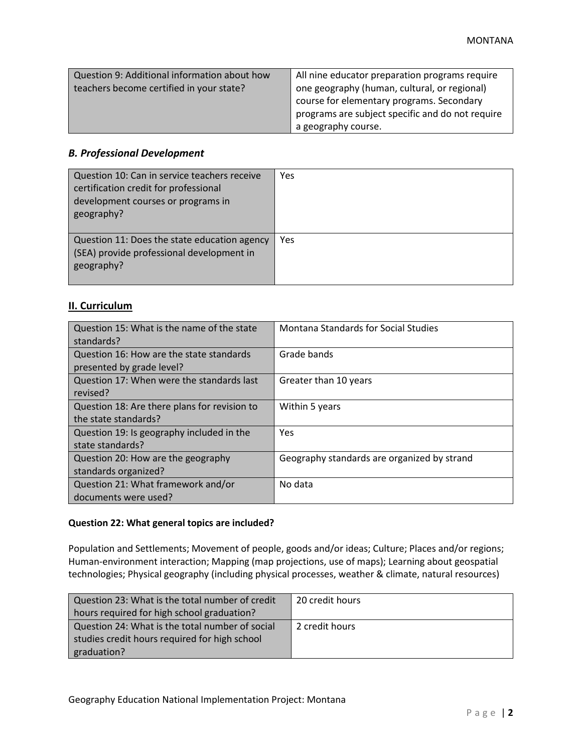| Question 9: Additional information about how | All nine educator preparation programs require   |
|----------------------------------------------|--------------------------------------------------|
| teachers become certified in your state?     | one geography (human, cultural, or regional)     |
|                                              | course for elementary programs. Secondary        |
|                                              | programs are subject specific and do not require |
|                                              | a geography course.                              |

# *B. Professional Development*

| Question 10: Can in service teachers receive<br>certification credit for professional<br>development courses or programs in<br>geography? | Yes |
|-------------------------------------------------------------------------------------------------------------------------------------------|-----|
| Question 11: Does the state education agency<br>(SEA) provide professional development in<br>geography?                                   | Yes |

# **II. Curriculum**

| Question 15: What is the name of the state   | Montana Standards for Social Studies        |
|----------------------------------------------|---------------------------------------------|
| standards?                                   |                                             |
| Question 16: How are the state standards     | Grade bands                                 |
| presented by grade level?                    |                                             |
| Question 17: When were the standards last    | Greater than 10 years                       |
| revised?                                     |                                             |
| Question 18: Are there plans for revision to | Within 5 years                              |
| the state standards?                         |                                             |
| Question 19: Is geography included in the    | <b>Yes</b>                                  |
| state standards?                             |                                             |
| Question 20: How are the geography           | Geography standards are organized by strand |
| standards organized?                         |                                             |
| Question 21: What framework and/or           | No data                                     |
| documents were used?                         |                                             |

### **Question 22: What general topics are included?**

Population and Settlements; Movement of people, goods and/or ideas; Culture; Places and/or regions; Human-environment interaction; Mapping (map projections, use of maps); Learning about geospatial technologies; Physical geography (including physical processes, weather & climate, natural resources)

| Question 23: What is the total number of credit | 20 credit hours |
|-------------------------------------------------|-----------------|
| hours required for high school graduation?      |                 |
| Question 24: What is the total number of social | 2 credit hours  |
| studies credit hours required for high school   |                 |
| graduation?                                     |                 |